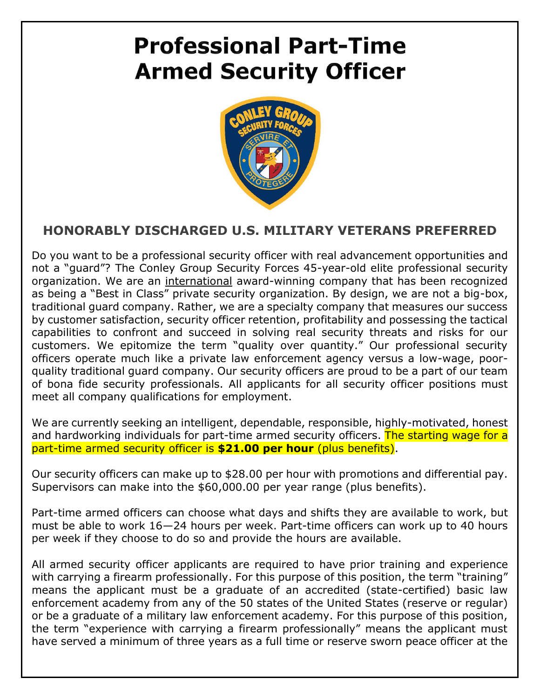## **Professional Part-Time Armed Security Officer**



## **HONORABLY DISCHARGED U.S. MILITARY VETERANS PREFERRED**

Do you want to be a professional security officer with real advancement opportunities and not a "guard"? The Conley Group Security Forces 45-year-old elite professional security organization. We are an international award-winning company that has been recognized as being a "Best in Class" private security organization. By design, we are not a big-box, traditional guard company. Rather, we are a specialty company that measures our success by customer satisfaction, security officer retention, profitability and possessing the tactical capabilities to confront and succeed in solving real security threats and risks for our customers. We epitomize the term "quality over quantity." Our professional security officers operate much like a private law enforcement agency versus a low-wage, poorquality traditional guard company. Our security officers are proud to be a part of our team of bona fide security professionals. All applicants for all security officer positions must meet all company qualifications for employment.

We are currently seeking an intelligent, dependable, responsible, highly-motivated, honest and hardworking individuals for part-time armed security officers. The starting wage for a part-time armed security officer is **\$21.00 per hour** (plus benefits).

Our security officers can make up to \$28.00 per hour with promotions and differential pay. Supervisors can make into the \$60,000.00 per year range (plus benefits).

Part-time armed officers can choose what days and shifts they are available to work, but must be able to work 16—24 hours per week. Part-time officers can work up to 40 hours per week if they choose to do so and provide the hours are available.

All armed security officer applicants are required to have prior training and experience with carrying a firearm professionally. For this purpose of this position, the term "training" means the applicant must be a graduate of an accredited (state-certified) basic law enforcement academy from any of the 50 states of the United States (reserve or regular) or be a graduate of a military law enforcement academy. For this purpose of this position, the term "experience with carrying a firearm professionally" means the applicant must have served a minimum of three years as a full time or reserve sworn peace officer at the